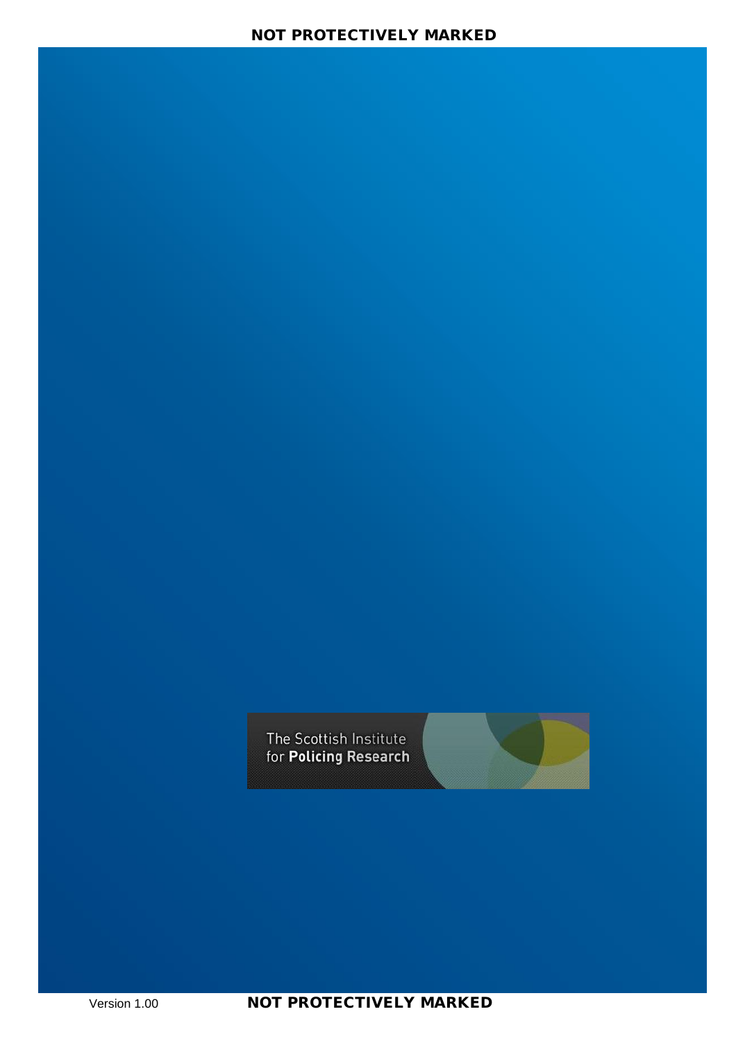The Scottish Institute for Policing Research



Version 1.00 **NOT PROTECTIVELY MARKED**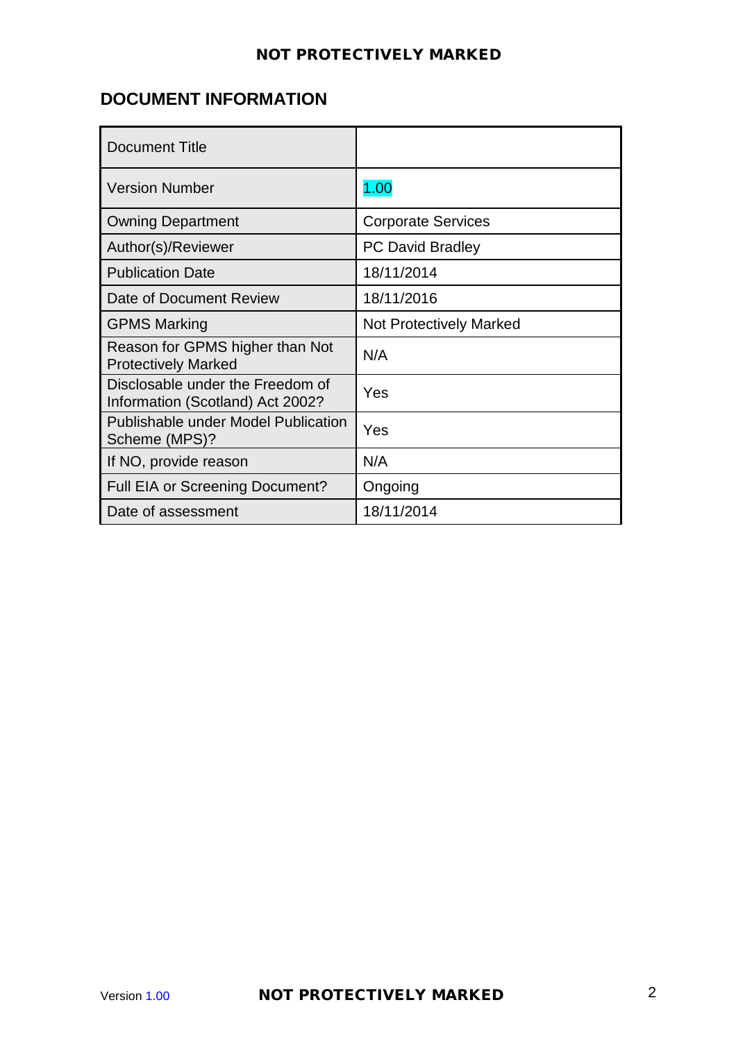# **DOCUMENT INFORMATION**

| <b>Document Title</b>                                                |                                |
|----------------------------------------------------------------------|--------------------------------|
| <b>Version Number</b>                                                | 1.00                           |
| <b>Owning Department</b>                                             | <b>Corporate Services</b>      |
| Author(s)/Reviewer                                                   | <b>PC David Bradley</b>        |
| <b>Publication Date</b>                                              | 18/11/2014                     |
| Date of Document Review                                              | 18/11/2016                     |
| <b>GPMS Marking</b>                                                  | <b>Not Protectively Marked</b> |
| Reason for GPMS higher than Not<br><b>Protectively Marked</b>        | N/A                            |
| Disclosable under the Freedom of<br>Information (Scotland) Act 2002? | Yes                            |
| <b>Publishable under Model Publication</b><br>Scheme (MPS)?          | Yes                            |
| If NO, provide reason                                                | N/A                            |
| Full EIA or Screening Document?                                      | Ongoing                        |
| Date of assessment                                                   | 18/11/2014                     |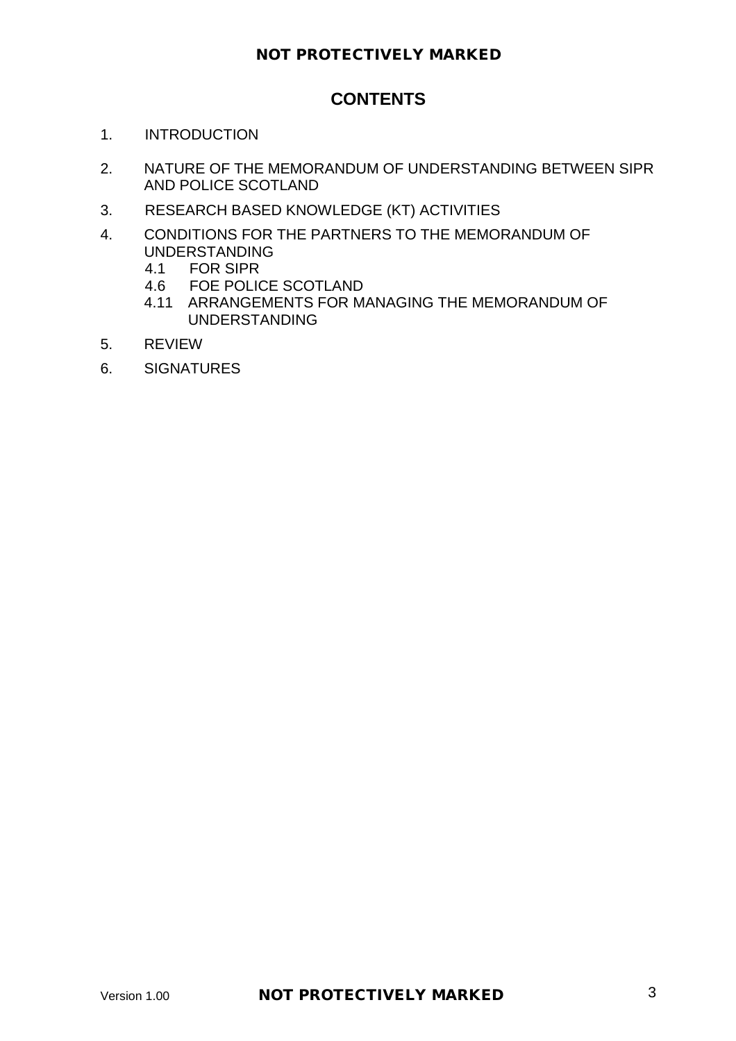# **CONTENTS**

- 1. INTRODUCTION
- 2. NATURE OF THE MEMORANDUM OF UNDERSTANDING BETWEEN SIPR AND POLICE SCOTLAND
- 3. RESEARCH BASED KNOWLEDGE (KT) ACTIVITIES
- 4. CONDITIONS FOR THE PARTNERS TO THE MEMORANDUM OF UNDERSTANDING<br>4.1 FOR SIPR
	- 4.1 FOR SIPR<br>4.6 FOE POLIC
	- FOE POLICE SCOTLAND
	- 4.11 ARRANGEMENTS FOR MANAGING THE MEMORANDUM OF UNDERSTANDING
- 5. REVIEW
- 6. SIGNATURES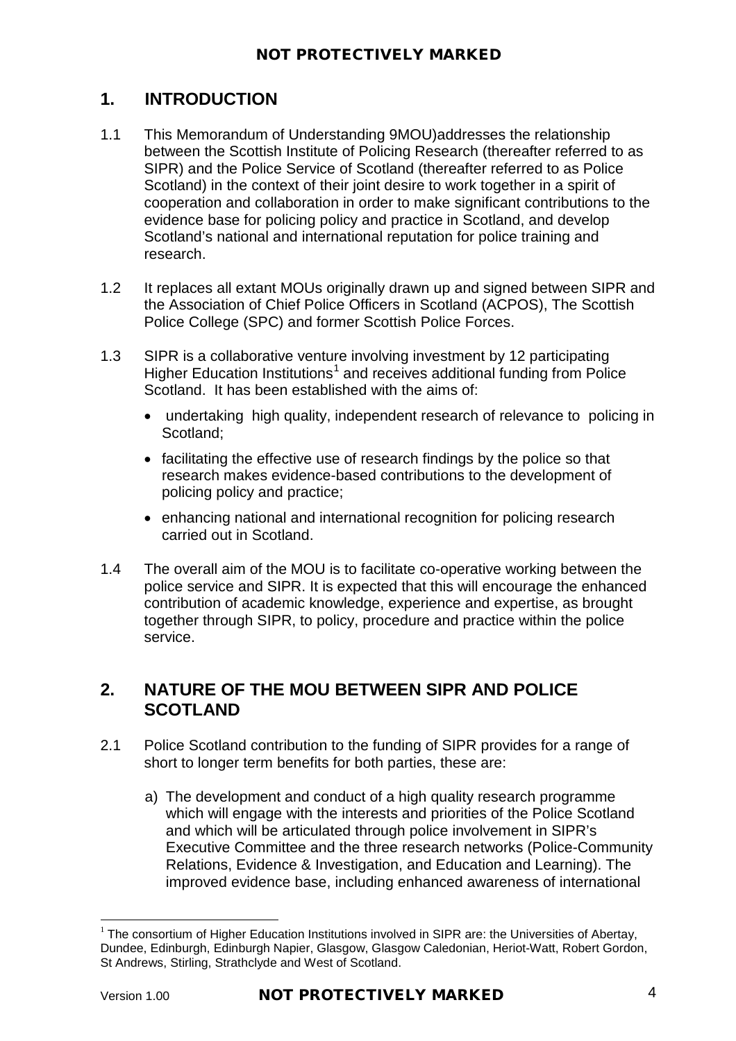# **1. INTRODUCTION**

- 1.1 This Memorandum of Understanding 9MOU)addresses the relationship between the Scottish Institute of Policing Research (thereafter referred to as SIPR) and the Police Service of Scotland (thereafter referred to as Police Scotland) in the context of their joint desire to work together in a spirit of cooperation and collaboration in order to make significant contributions to the evidence base for policing policy and practice in Scotland, and develop Scotland's national and international reputation for police training and research.
- 1.2 It replaces all extant MOUs originally drawn up and signed between SIPR and the Association of Chief Police Officers in Scotland (ACPOS), The Scottish Police College (SPC) and former Scottish Police Forces.
- 1.3 SIPR is a collaborative venture involving investment by 12 participating Higher Education Institutions<sup>[1](#page-3-0)</sup> and receives additional funding from Police Scotland. It has been established with the aims of:
	- undertaking high quality, independent research of relevance to policing in Scotland;
	- facilitating the effective use of research findings by the police so that research makes evidence-based contributions to the development of policing policy and practice;
	- enhancing national and international recognition for policing research carried out in Scotland.
- 1.4 The overall aim of the MOU is to facilitate co-operative working between the police service and SIPR. It is expected that this will encourage the enhanced contribution of academic knowledge, experience and expertise, as brought together through SIPR, to policy, procedure and practice within the police service.

## **2. NATURE OF THE MOU BETWEEN SIPR AND POLICE SCOTLAND**

- 2.1 Police Scotland contribution to the funding of SIPR provides for a range of short to longer term benefits for both parties, these are:
	- a) The development and conduct of a high quality research programme which will engage with the interests and priorities of the Police Scotland and which will be articulated through police involvement in SIPR's Executive Committee and the three research networks (Police-Community Relations, Evidence & Investigation, and Education and Learning). The improved evidence base, including enhanced awareness of international

<span id="page-3-0"></span> $1$  The consortium of Higher Education Institutions involved in SIPR are: the Universities of Abertay, Dundee, Edinburgh, Edinburgh Napier, Glasgow, Glasgow Caledonian, Heriot-Watt, Robert Gordon, St Andrews, Stirling, Strathclyde and West of Scotland.  $\overline{a}$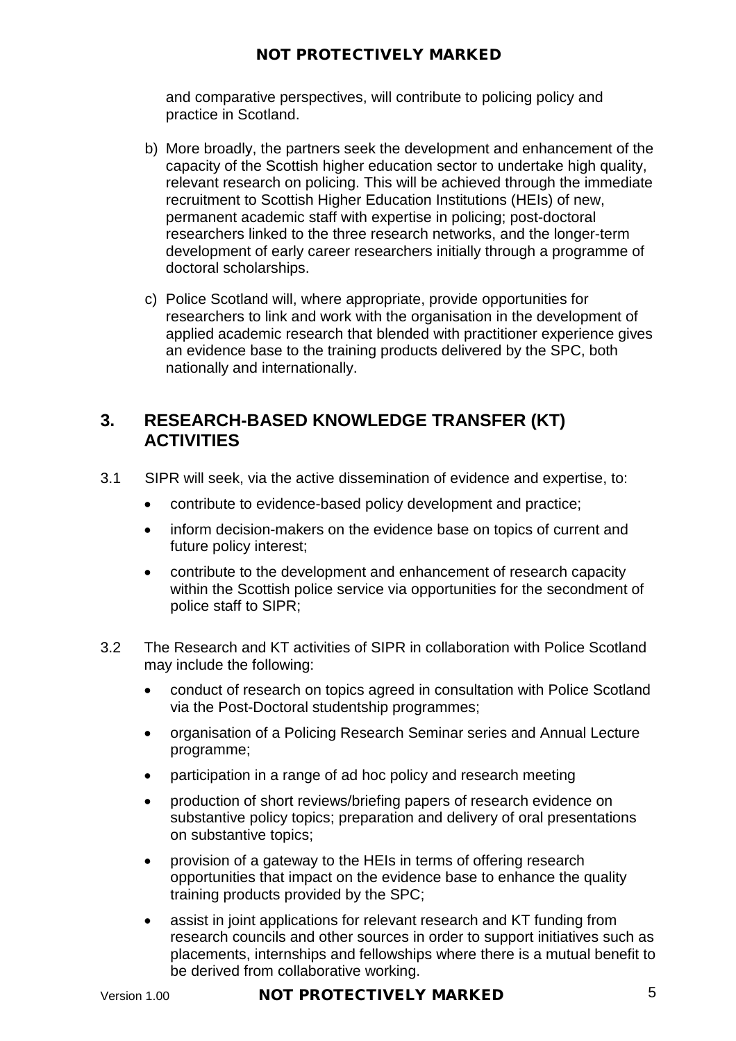and comparative perspectives, will contribute to policing policy and practice in Scotland.

- b) More broadly, the partners seek the development and enhancement of the capacity of the Scottish higher education sector to undertake high quality, relevant research on policing. This will be achieved through the immediate recruitment to Scottish Higher Education Institutions (HEIs) of new, permanent academic staff with expertise in policing; post-doctoral researchers linked to the three research networks, and the longer-term development of early career researchers initially through a programme of doctoral scholarships.
- c) Police Scotland will, where appropriate, provide opportunities for researchers to link and work with the organisation in the development of applied academic research that blended with practitioner experience gives an evidence base to the training products delivered by the SPC, both nationally and internationally.

# **3. RESEARCH-BASED KNOWLEDGE TRANSFER (KT) ACTIVITIES**

- 3.1 SIPR will seek, via the active dissemination of evidence and expertise, to:
	- contribute to evidence-based policy development and practice;
	- inform decision-makers on the evidence base on topics of current and future policy interest;
	- contribute to the development and enhancement of research capacity within the Scottish police service via opportunities for the secondment of police staff to SIPR;
- 3.2 The Research and KT activities of SIPR in collaboration with Police Scotland may include the following:
	- conduct of research on topics agreed in consultation with Police Scotland via the Post-Doctoral studentship programmes;
	- organisation of a Policing Research Seminar series and Annual Lecture programme;
	- participation in a range of ad hoc policy and research meeting
	- production of short reviews/briefing papers of research evidence on substantive policy topics; preparation and delivery of oral presentations on substantive topics;
	- provision of a gateway to the HEIs in terms of offering research opportunities that impact on the evidence base to enhance the quality training products provided by the SPC;
	- assist in joint applications for relevant research and KT funding from research councils and other sources in order to support initiatives such as placements, internships and fellowships where there is a mutual benefit to be derived from collaborative working.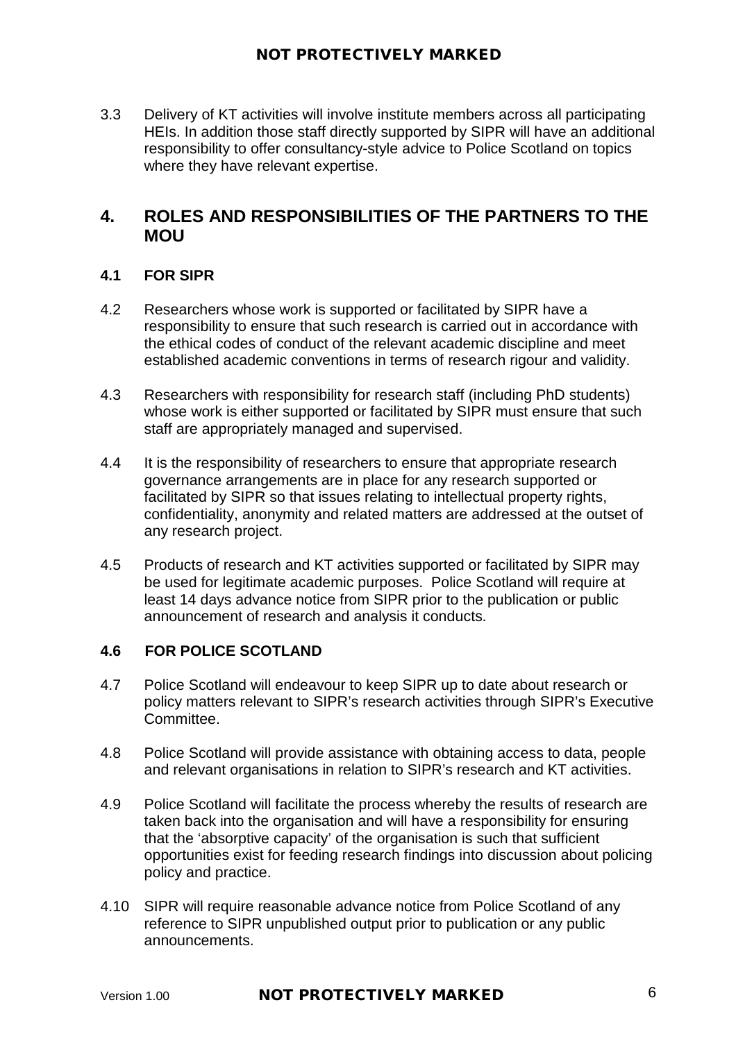3.3 Delivery of KT activities will involve institute members across all participating HEIs. In addition those staff directly supported by SIPR will have an additional responsibility to offer consultancy-style advice to Police Scotland on topics where they have relevant expertise.

## **4. ROLES AND RESPONSIBILITIES OF THE PARTNERS TO THE MOU**

### **4.1 FOR SIPR**

- 4.2 Researchers whose work is supported or facilitated by SIPR have a responsibility to ensure that such research is carried out in accordance with the ethical codes of conduct of the relevant academic discipline and meet established academic conventions in terms of research rigour and validity.
- 4.3 Researchers with responsibility for research staff (including PhD students) whose work is either supported or facilitated by SIPR must ensure that such staff are appropriately managed and supervised.
- 4.4 It is the responsibility of researchers to ensure that appropriate research governance arrangements are in place for any research supported or facilitated by SIPR so that issues relating to intellectual property rights, confidentiality, anonymity and related matters are addressed at the outset of any research project.
- 4.5 Products of research and KT activities supported or facilitated by SIPR may be used for legitimate academic purposes. Police Scotland will require at least 14 days advance notice from SIPR prior to the publication or public announcement of research and analysis it conducts.

#### **4.6 FOR POLICE SCOTLAND**

- 4.7 Police Scotland will endeavour to keep SIPR up to date about research or policy matters relevant to SIPR's research activities through SIPR's Executive Committee.
- 4.8 Police Scotland will provide assistance with obtaining access to data, people and relevant organisations in relation to SIPR's research and KT activities.
- 4.9 Police Scotland will facilitate the process whereby the results of research are taken back into the organisation and will have a responsibility for ensuring that the 'absorptive capacity' of the organisation is such that sufficient opportunities exist for feeding research findings into discussion about policing policy and practice.
- 4.10 SIPR will require reasonable advance notice from Police Scotland of any reference to SIPR unpublished output prior to publication or any public announcements.